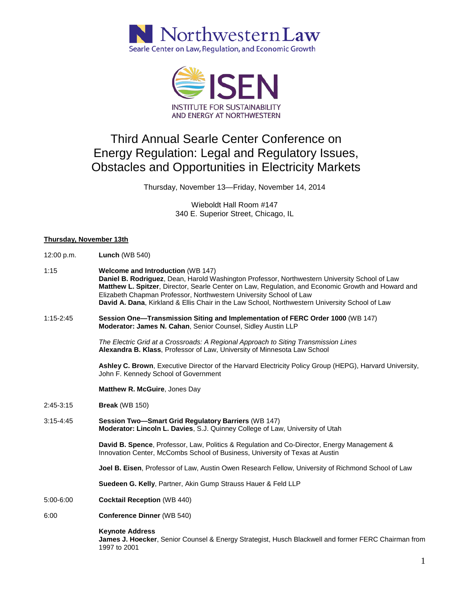



## Third Annual Searle Center Conference on Energy Regulation: Legal and Regulatory Issues, Obstacles and Opportunities in Electricity Markets

Thursday, November 13—Friday, November 14, 2014

Wieboldt Hall Room #147 340 E. Superior Street, Chicago, IL

## **Thursday, November 13th**

| 12:00 p.m.    | <b>Lunch (WB 540)</b>                                                                                                                                                                                                                                                                                                                                                                                                   |
|---------------|-------------------------------------------------------------------------------------------------------------------------------------------------------------------------------------------------------------------------------------------------------------------------------------------------------------------------------------------------------------------------------------------------------------------------|
| 1:15          | <b>Welcome and Introduction (WB 147)</b><br>Daniel B. Rodriguez, Dean, Harold Washington Professor, Northwestern University School of Law<br>Matthew L. Spitzer, Director, Searle Center on Law, Regulation, and Economic Growth and Howard and<br>Elizabeth Chapman Professor, Northwestern University School of Law<br>David A. Dana, Kirkland & Ellis Chair in the Law School, Northwestern University School of Law |
| $1:15-2:45$   | Session One-Transmission Siting and Implementation of FERC Order 1000 (WB 147)<br>Moderator: James N. Cahan, Senior Counsel, Sidley Austin LLP                                                                                                                                                                                                                                                                          |
|               | The Electric Grid at a Crossroads: A Regional Approach to Siting Transmission Lines<br>Alexandra B. Klass, Professor of Law, University of Minnesota Law School                                                                                                                                                                                                                                                         |
|               | Ashley C. Brown, Executive Director of the Harvard Electricity Policy Group (HEPG), Harvard University,<br>John F. Kennedy School of Government                                                                                                                                                                                                                                                                         |
|               | Matthew R. McGuire, Jones Day                                                                                                                                                                                                                                                                                                                                                                                           |
| $2:45-3:15$   | <b>Break</b> (WB 150)                                                                                                                                                                                                                                                                                                                                                                                                   |
| $3:15 - 4:45$ | Session Two-Smart Grid Regulatory Barriers (WB 147)<br>Moderator: Lincoln L. Davies, S.J. Quinney College of Law, University of Utah                                                                                                                                                                                                                                                                                    |
|               | David B. Spence, Professor, Law, Politics & Regulation and Co-Director, Energy Management &<br>Innovation Center, McCombs School of Business, University of Texas at Austin                                                                                                                                                                                                                                             |
|               | <b>Joel B. Eisen</b> , Professor of Law, Austin Owen Research Fellow, University of Richmond School of Law                                                                                                                                                                                                                                                                                                              |
|               | Suedeen G. Kelly, Partner, Akin Gump Strauss Hauer & Feld LLP                                                                                                                                                                                                                                                                                                                                                           |
| 5:00-6:00     | <b>Cocktail Reception (WB 440)</b>                                                                                                                                                                                                                                                                                                                                                                                      |
| 6:00          | <b>Conference Dinner (WB 540)</b>                                                                                                                                                                                                                                                                                                                                                                                       |
|               | <b>Keynote Address</b><br>James J. Hoecker, Senior Counsel & Energy Strategist, Husch Blackwell and former FERC Chairman from<br>1997 to 2001                                                                                                                                                                                                                                                                           |